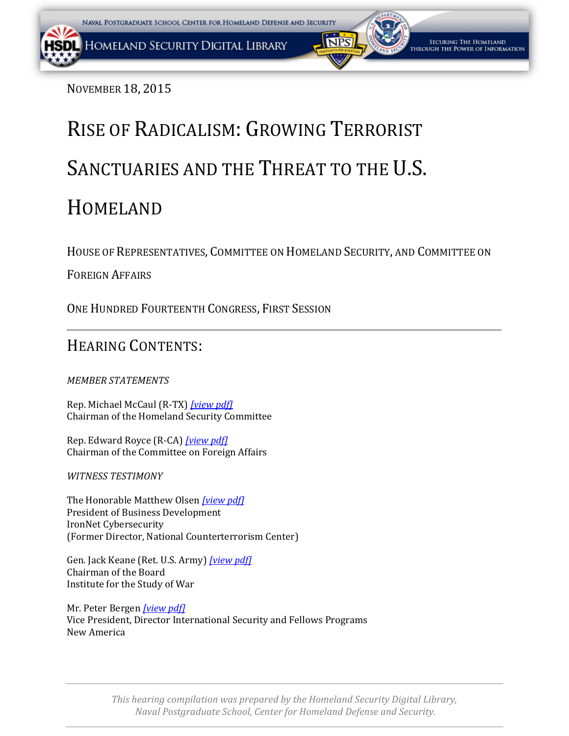NOVEMBER 18, 2015

# RISE OF RADICALISM: GROWING TERRORIST SANCTUARIES AND THE THREAT TO THE U.S. HOMELAND

HOUSE OF REPRESENTATIVES, COMMITTEE ON HOMELAND SECURITY, AND COMMITTEE ON

FOREIGN AFFAIRS

ONE HUNDRED FOURTEENTH CONGRESS, FIRST SESSION

# HEARING CONTENTS:

*MEMBER STATEMENTS*

Rep. Michael McCaul (R-TX) *[\[view pdf\]](#page-2-0)* Chairman of the Homeland Security Committee

Rep. Edward Royce (R-CA) *[\[view pdf\]](#page-5-0)* Chairman of the Committee on Foreign Affairs

*WITNESS TESTIMONY*

The Honorable Matthew Olsen *[\[view pdf\]](#page-7-0)* President of Business Development IronNet Cybersecurity (Former Director, National Counterterrorism Center)

Gen. Jack Keane (Ret. U.S. Army) *[\[view pdf\]](#page-10-0)* Chairman of the Board Institute for the Study of War

Mr. Peter Bergen *[\[view pdf\]](#page-18-0)* Vice President, Director International Security and Fellows Programs New America

> *This hearing compilation was prepared by the Homeland Security Digital Library, Naval Postgraduate School, Center for Homeland Defense and Security.*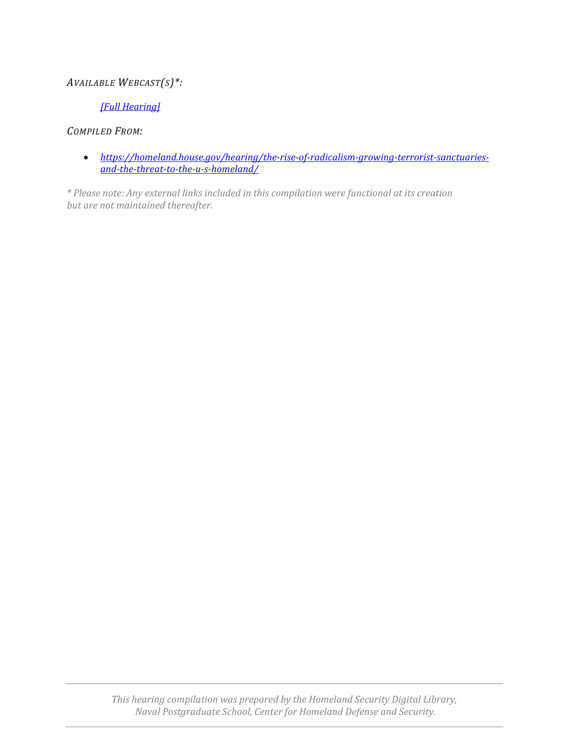## *AVAILABLE WEBCAST(S)\*:*

## *[\[Full Hearing\]](https://youtu.be/Oj1xnhsDe6g)*

## *COMPILED FROM:*

• *[https://homeland.house.gov/hearing/the-rise-of-radicalism-growing-terrorist-sanctuaries](https://homeland.house.gov/hearing/the-rise-of-radicalism-growing-terrorist-sanctuaries-and-the-threat-to-the-u-s-homeland/)[and-the-threat-to-the-u-s-homeland/](https://homeland.house.gov/hearing/the-rise-of-radicalism-growing-terrorist-sanctuaries-and-the-threat-to-the-u-s-homeland/)*

*\* Please note: Any external links included in this compilation were functional at its creation but are not maintained thereafter.*

> *This hearing compilation was prepared by the Homeland Security Digital Library, Naval Postgraduate School, Center for Homeland Defense and Security.*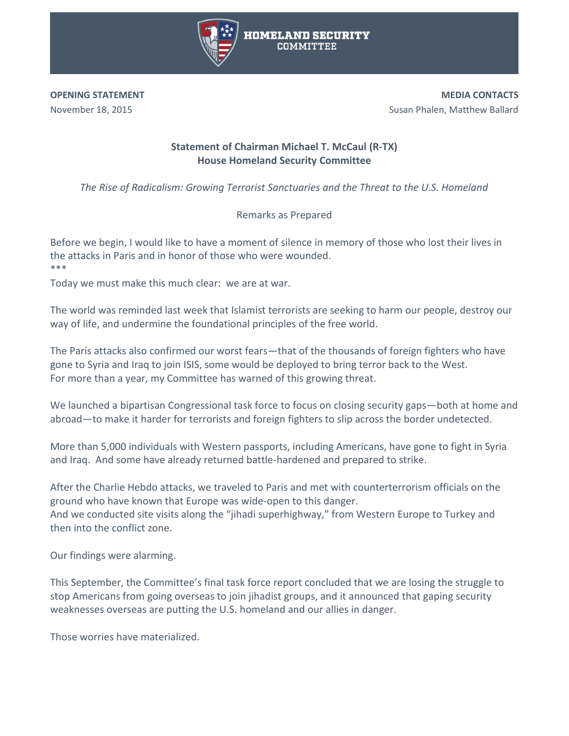

<span id="page-2-0"></span>**OPENING STATEMENT**  November 18, 2015

**MEDIA CONTACTS** Susan Phalen, Matthew Ballard

## **Statement of Chairman Michael T. McCaul (R-TX) House Homeland Security Committee**

*The Rise of Radicalism: Growing Terrorist Sanctuaries and the Threat to the U.S. Homeland*

Remarks as Prepared

Before we begin, I would like to have a moment of silence in memory of those who lost their lives in the attacks in Paris and in honor of those who were wounded. \*\*\*

Today we must make this much clear: we are at war.

The world was reminded last week that Islamist terrorists are seeking to harm our people, destroy our way of life, and undermine the foundational principles of the free world.

The Paris attacks also confirmed our worst fears—that of the thousands of foreign fighters who have gone to Syria and Iraq to join ISIS, some would be deployed to bring terror back to the West. For more than a year, my Committee has warned of this growing threat.

We launched a bipartisan Congressional task force to focus on closing security gaps—both at home and abroad—to make it harder for terrorists and foreign fighters to slip across the border undetected.

More than 5,000 individuals with Western passports, including Americans, have gone to fight in Syria and Iraq. And some have already returned battle-hardened and prepared to strike.

After the Charlie Hebdo attacks, we traveled to Paris and met with counterterrorism officials on the ground who have known that Europe was wide-open to this danger. And we conducted site visits along the "jihadi superhighway," from Western Europe to Turkey and then into the conflict zone.

Our findings were alarming.

This September, the Committee's final task force report concluded that we are losing the struggle to stop Americans from going overseas to join jihadist groups, and it announced that gaping security weaknesses overseas are putting the U.S. homeland and our allies in danger.

Those worries have materialized.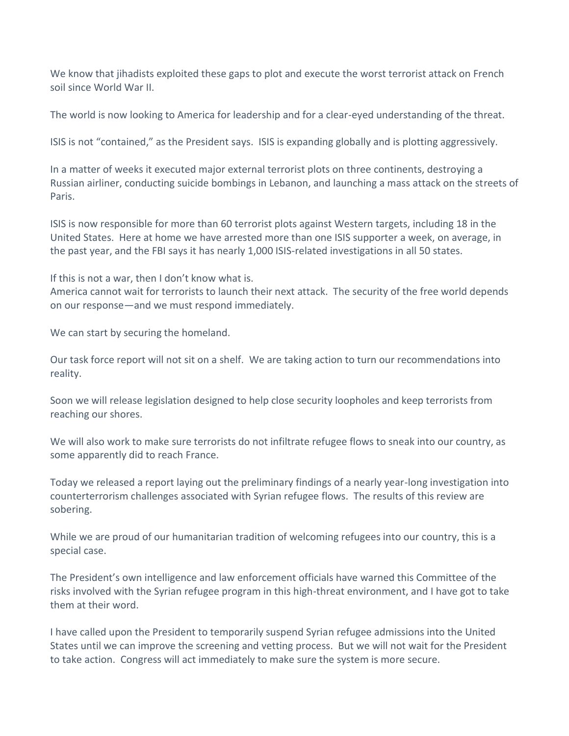We know that jihadists exploited these gaps to plot and execute the worst terrorist attack on French soil since World War II.

The world is now looking to America for leadership and for a clear-eyed understanding of the threat.

ISIS is not "contained," as the President says. ISIS is expanding globally and is plotting aggressively.

In a matter of weeks it executed major external terrorist plots on three continents, destroying a Russian airliner, conducting suicide bombings in Lebanon, and launching a mass attack on the streets of Paris.

ISIS is now responsible for more than 60 terrorist plots against Western targets, including 18 in the United States. Here at home we have arrested more than one ISIS supporter a week, on average, in the past year, and the FBI says it has nearly 1,000 ISIS-related investigations in all 50 states.

If this is not a war, then I don't know what is.

America cannot wait for terrorists to launch their next attack. The security of the free world depends on our response—and we must respond immediately.

We can start by securing the homeland.

Our task force report will not sit on a shelf. We are taking action to turn our recommendations into reality.

Soon we will release legislation designed to help close security loopholes and keep terrorists from reaching our shores.

We will also work to make sure terrorists do not infiltrate refugee flows to sneak into our country, as some apparently did to reach France.

Today we released a report laying out the preliminary findings of a nearly year-long investigation into counterterrorism challenges associated with Syrian refugee flows. The results of this review are sobering.

While we are proud of our humanitarian tradition of welcoming refugees into our country, this is a special case.

The President's own intelligence and law enforcement officials have warned this Committee of the risks involved with the Syrian refugee program in this high-threat environment, and I have got to take them at their word.

I have called upon the President to temporarily suspend Syrian refugee admissions into the United States until we can improve the screening and vetting process. But we will not wait for the President to take action. Congress will act immediately to make sure the system is more secure.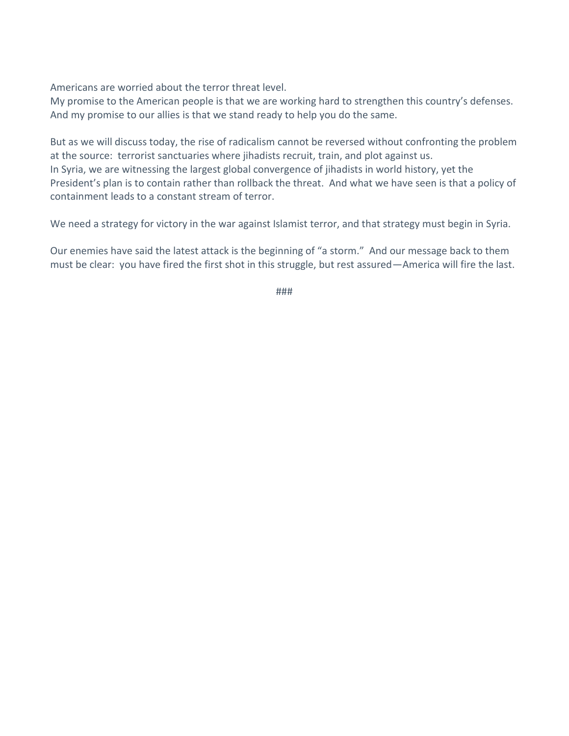Americans are worried about the terror threat level.

My promise to the American people is that we are working hard to strengthen this country's defenses. And my promise to our allies is that we stand ready to help you do the same.

But as we will discuss today, the rise of radicalism cannot be reversed without confronting the problem at the source: terrorist sanctuaries where jihadists recruit, train, and plot against us. In Syria, we are witnessing the largest global convergence of jihadists in world history, yet the President's plan is to contain rather than rollback the threat. And what we have seen is that a policy of containment leads to a constant stream of terror.

We need a strategy for victory in the war against Islamist terror, and that strategy must begin in Syria.

Our enemies have said the latest attack is the beginning of "a storm." And our message back to them must be clear: you have fired the first shot in this struggle, but rest assured—America will fire the last.

###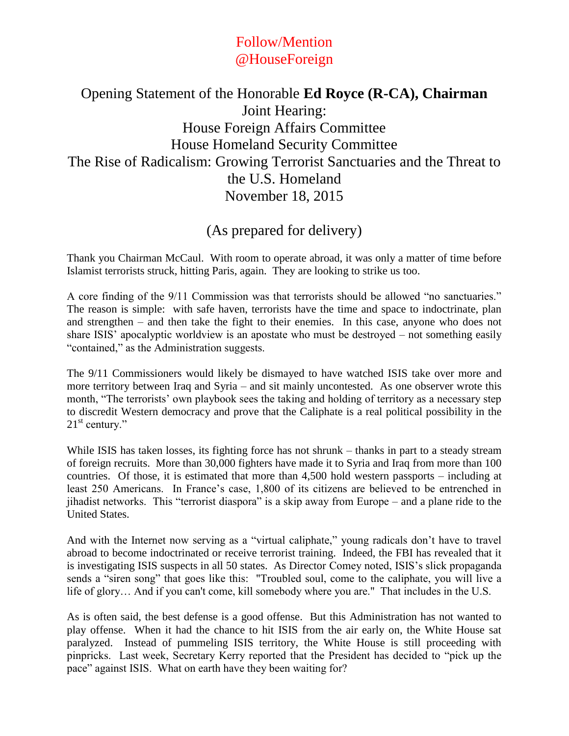# Follow/Mention @HouseForeign

# <span id="page-5-0"></span>Opening Statement of the Honorable **Ed Royce (R-CA), Chairman** Joint Hearing: House Foreign Affairs Committee House Homeland Security Committee The Rise of Radicalism: Growing Terrorist Sanctuaries and the Threat to the U.S. Homeland November 18, 2015

# (As prepared for delivery)

Thank you Chairman McCaul. With room to operate abroad, it was only a matter of time before Islamist terrorists struck, hitting Paris, again. They are looking to strike us too.

A core finding of the 9/11 Commission was that terrorists should be allowed "no sanctuaries." The reason is simple: with safe haven, terrorists have the time and space to indoctrinate, plan and strengthen – and then take the fight to their enemies. In this case, anyone who does not share ISIS' apocalyptic worldview is an apostate who must be destroyed – not something easily "contained," as the Administration suggests.

The 9/11 Commissioners would likely be dismayed to have watched ISIS take over more and more territory between Iraq and Syria – and sit mainly uncontested. As one observer wrote this month, "The terrorists' own playbook sees the taking and holding of territory as a necessary step to discredit Western democracy and prove that the Caliphate is a real political possibility in the  $21<sup>st</sup>$  century."

While ISIS has taken losses, its fighting force has not shrunk – thanks in part to a steady stream of foreign recruits. More than 30,000 fighters have made it to Syria and Iraq from more than 100 countries. Of those, it is estimated that more than 4,500 hold western passports – including at least 250 Americans. In France's case, 1,800 of its citizens are believed to be entrenched in jihadist networks. This "terrorist diaspora" is a skip away from Europe – and a plane ride to the United States.

And with the Internet now serving as a "virtual caliphate," young radicals don't have to travel abroad to become indoctrinated or receive terrorist training. Indeed, the FBI has revealed that it is investigating ISIS suspects in all 50 states. As Director Comey noted, ISIS's slick propaganda sends a "siren song" that goes like this: "Troubled soul, come to the caliphate, you will live a life of glory… And if you can't come, kill somebody where you are." That includes in the U.S.

As is often said, the best defense is a good offense. But this Administration has not wanted to play offense. When it had the chance to hit ISIS from the air early on, the White House sat paralyzed. Instead of pummeling ISIS territory, the White House is still proceeding with pinpricks. Last week, Secretary Kerry reported that the President has decided to "pick up the pace" against ISIS. What on earth have they been waiting for?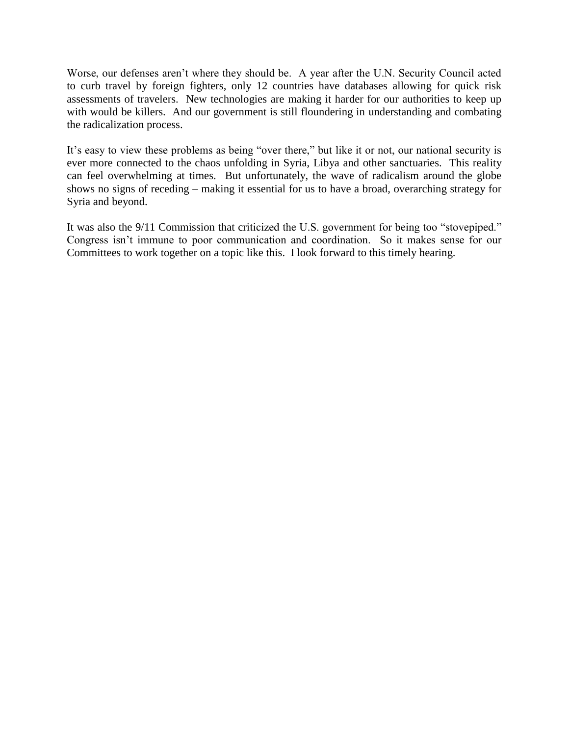Worse, our defenses aren't where they should be. A year after the U.N. Security Council acted to curb travel by foreign fighters, only 12 countries have databases allowing for quick risk assessments of travelers. New technologies are making it harder for our authorities to keep up with would be killers. And our government is still floundering in understanding and combating the radicalization process.

It's easy to view these problems as being "over there," but like it or not, our national security is ever more connected to the chaos unfolding in Syria, Libya and other sanctuaries. This reality can feel overwhelming at times. But unfortunately, the wave of radicalism around the globe shows no signs of receding – making it essential for us to have a broad, overarching strategy for Syria and beyond.

It was also the 9/11 Commission that criticized the U.S. government for being too "stovepiped." Congress isn't immune to poor communication and coordination. So it makes sense for our Committees to work together on a topic like this. I look forward to this timely hearing.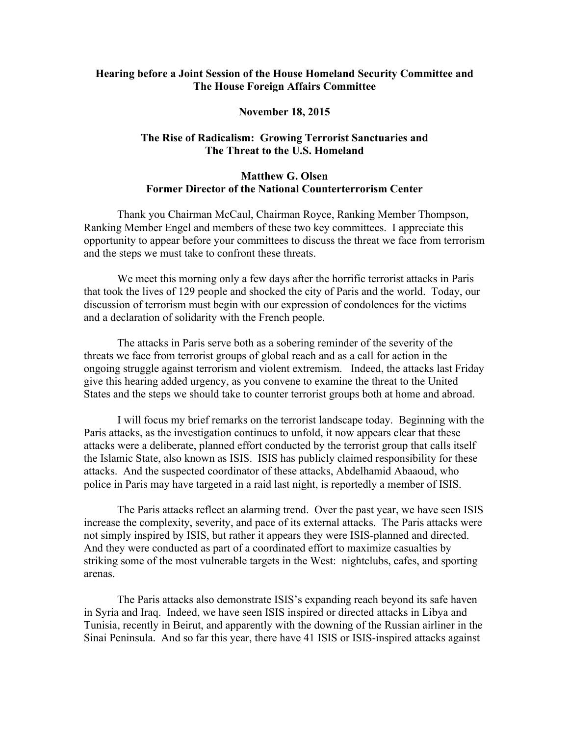#### <span id="page-7-0"></span>**Hearing before a Joint Session of the House Homeland Security Committee and The House Foreign Affairs Committee**

#### **November 18, 2015**

#### **The Rise of Radicalism: Growing Terrorist Sanctuaries and The Threat to the U.S. Homeland**

#### **Matthew G. Olsen Former Director of the National Counterterrorism Center**

Thank you Chairman McCaul, Chairman Royce, Ranking Member Thompson, Ranking Member Engel and members of these two key committees. I appreciate this opportunity to appear before your committees to discuss the threat we face from terrorism and the steps we must take to confront these threats.

We meet this morning only a few days after the horrific terrorist attacks in Paris that took the lives of 129 people and shocked the city of Paris and the world. Today, our discussion of terrorism must begin with our expression of condolences for the victims and a declaration of solidarity with the French people.

The attacks in Paris serve both as a sobering reminder of the severity of the threats we face from terrorist groups of global reach and as a call for action in the ongoing struggle against terrorism and violent extremism. Indeed, the attacks last Friday give this hearing added urgency, as you convene to examine the threat to the United States and the steps we should take to counter terrorist groups both at home and abroad.

I will focus my brief remarks on the terrorist landscape today. Beginning with the Paris attacks, as the investigation continues to unfold, it now appears clear that these attacks were a deliberate, planned effort conducted by the terrorist group that calls itself the Islamic State, also known as ISIS. ISIS has publicly claimed responsibility for these attacks. And the suspected coordinator of these attacks, Abdelhamid Abaaoud, who police in Paris may have targeted in a raid last night, is reportedly a member of ISIS.

The Paris attacks reflect an alarming trend. Over the past year, we have seen ISIS increase the complexity, severity, and pace of its external attacks. The Paris attacks were not simply inspired by ISIS, but rather it appears they were ISIS-planned and directed. And they were conducted as part of a coordinated effort to maximize casualties by striking some of the most vulnerable targets in the West: nightclubs, cafes, and sporting arenas.

The Paris attacks also demonstrate ISIS's expanding reach beyond its safe haven in Syria and Iraq. Indeed, we have seen ISIS inspired or directed attacks in Libya and Tunisia, recently in Beirut, and apparently with the downing of the Russian airliner in the Sinai Peninsula. And so far this year, there have 41 ISIS or ISIS-inspired attacks against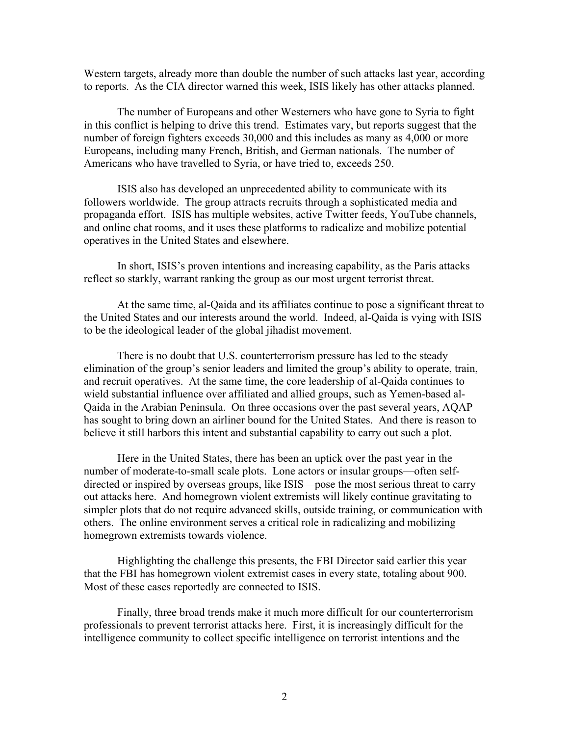Western targets, already more than double the number of such attacks last year, according to reports. As the CIA director warned this week, ISIS likely has other attacks planned.

The number of Europeans and other Westerners who have gone to Syria to fight in this conflict is helping to drive this trend. Estimates vary, but reports suggest that the number of foreign fighters exceeds 30,000 and this includes as many as 4,000 or more Europeans, including many French, British, and German nationals. The number of Americans who have travelled to Syria, or have tried to, exceeds 250.

ISIS also has developed an unprecedented ability to communicate with its followers worldwide. The group attracts recruits through a sophisticated media and propaganda effort. ISIS has multiple websites, active Twitter feeds, YouTube channels, and online chat rooms, and it uses these platforms to radicalize and mobilize potential operatives in the United States and elsewhere.

In short, ISIS's proven intentions and increasing capability, as the Paris attacks reflect so starkly, warrant ranking the group as our most urgent terrorist threat.

At the same time, al-Qaida and its affiliates continue to pose a significant threat to the United States and our interests around the world. Indeed, al-Qaida is vying with ISIS to be the ideological leader of the global jihadist movement.

There is no doubt that U.S. counterterrorism pressure has led to the steady elimination of the group's senior leaders and limited the group's ability to operate, train, and recruit operatives. At the same time, the core leadership of al-Qaida continues to wield substantial influence over affiliated and allied groups, such as Yemen-based al-Qaida in the Arabian Peninsula. On three occasions over the past several years, AQAP has sought to bring down an airliner bound for the United States. And there is reason to believe it still harbors this intent and substantial capability to carry out such a plot.

Here in the United States, there has been an uptick over the past year in the number of moderate-to-small scale plots. Lone actors or insular groups—often selfdirected or inspired by overseas groups, like ISIS—pose the most serious threat to carry out attacks here. And homegrown violent extremists will likely continue gravitating to simpler plots that do not require advanced skills, outside training, or communication with others. The online environment serves a critical role in radicalizing and mobilizing homegrown extremists towards violence.

Highlighting the challenge this presents, the FBI Director said earlier this year that the FBI has homegrown violent extremist cases in every state, totaling about 900. Most of these cases reportedly are connected to ISIS.

Finally, three broad trends make it much more difficult for our counterterrorism professionals to prevent terrorist attacks here. First, it is increasingly difficult for the intelligence community to collect specific intelligence on terrorist intentions and the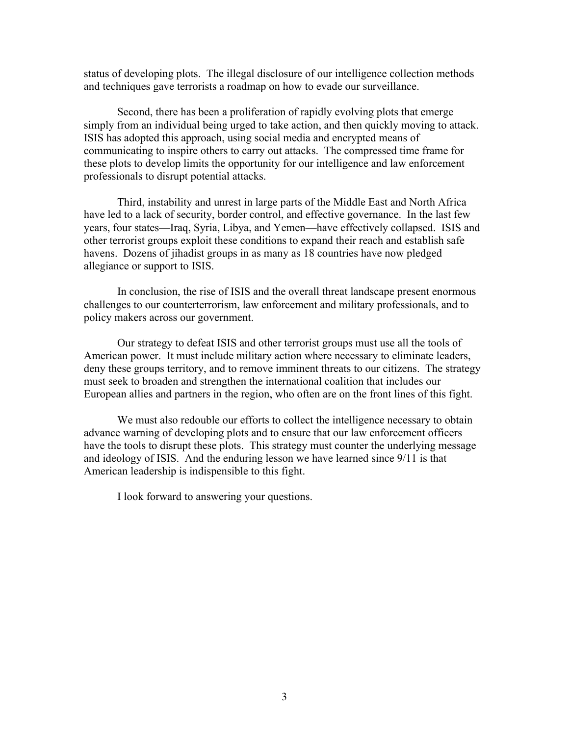status of developing plots. The illegal disclosure of our intelligence collection methods and techniques gave terrorists a roadmap on how to evade our surveillance.

Second, there has been a proliferation of rapidly evolving plots that emerge simply from an individual being urged to take action, and then quickly moving to attack. ISIS has adopted this approach, using social media and encrypted means of communicating to inspire others to carry out attacks. The compressed time frame for these plots to develop limits the opportunity for our intelligence and law enforcement professionals to disrupt potential attacks.

Third, instability and unrest in large parts of the Middle East and North Africa have led to a lack of security, border control, and effective governance. In the last few years, four states—Iraq, Syria, Libya, and Yemen—have effectively collapsed. ISIS and other terrorist groups exploit these conditions to expand their reach and establish safe havens. Dozens of jihadist groups in as many as 18 countries have now pledged allegiance or support to ISIS.

In conclusion, the rise of ISIS and the overall threat landscape present enormous challenges to our counterterrorism, law enforcement and military professionals, and to policy makers across our government.

Our strategy to defeat ISIS and other terrorist groups must use all the tools of American power. It must include military action where necessary to eliminate leaders, deny these groups territory, and to remove imminent threats to our citizens. The strategy must seek to broaden and strengthen the international coalition that includes our European allies and partners in the region, who often are on the front lines of this fight.

We must also redouble our efforts to collect the intelligence necessary to obtain advance warning of developing plots and to ensure that our law enforcement officers have the tools to disrupt these plots. This strategy must counter the underlying message and ideology of ISIS. And the enduring lesson we have learned since 9/11 is that American leadership is indispensible to this fight.

I look forward to answering your questions.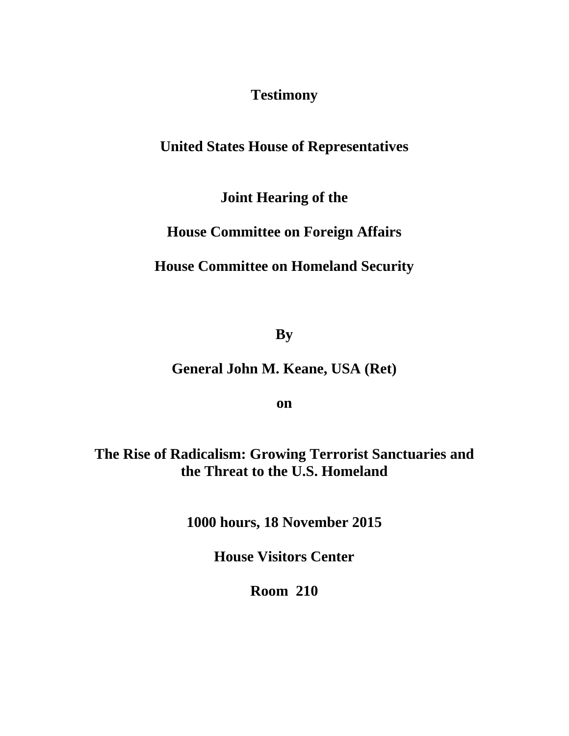**Testimony** 

# <span id="page-10-0"></span>**United States House of Representatives**

**Joint Hearing of the** 

**House Committee on Foreign Affairs** 

**House Committee on Homeland Security** 

**By** 

**General John M. Keane, USA (Ret)** 

**on** 

**The Rise of Radicalism: Growing Terrorist Sanctuaries and the Threat to the U.S. Homeland** 

**1000 hours, 18 November 2015** 

**House Visitors Center** 

**Room 210**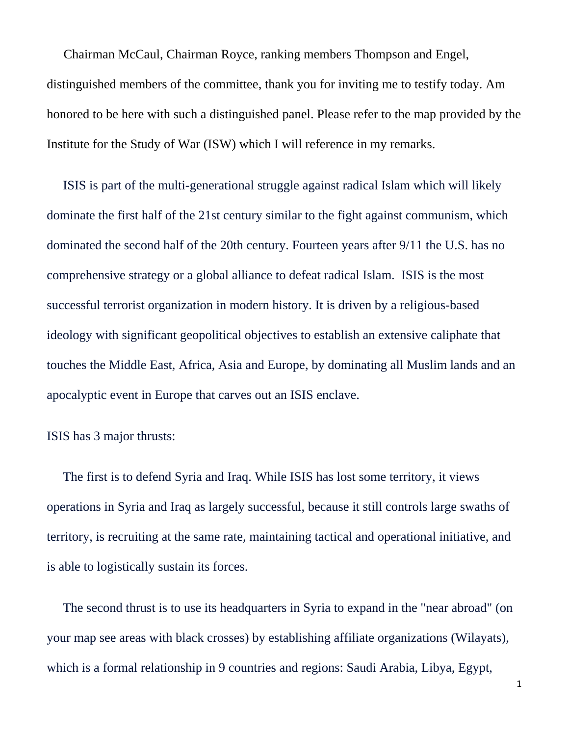Chairman McCaul, Chairman Royce, ranking members Thompson and Engel, distinguished members of the committee, thank you for inviting me to testify today. Am honored to be here with such a distinguished panel. Please refer to the map provided by the Institute for the Study of War (ISW) which I will reference in my remarks.

 ISIS is part of the multi-generational struggle against radical Islam which will likely dominate the first half of the 21st century similar to the fight against communism, which dominated the second half of the 20th century. Fourteen years after 9/11 the U.S. has no comprehensive strategy or a global alliance to defeat radical Islam. ISIS is the most successful terrorist organization in modern history. It is driven by a religious-based ideology with significant geopolitical objectives to establish an extensive caliphate that touches the Middle East, Africa, Asia and Europe, by dominating all Muslim lands and an apocalyptic event in Europe that carves out an ISIS enclave.

## ISIS has 3 major thrusts:

 The first is to defend Syria and Iraq. While ISIS has lost some territory, it views operations in Syria and Iraq as largely successful, because it still controls large swaths of territory, is recruiting at the same rate, maintaining tactical and operational initiative, and is able to logistically sustain its forces.

 The second thrust is to use its headquarters in Syria to expand in the "near abroad" (on your map see areas with black crosses) by establishing affiliate organizations (Wilayats), which is a formal relationship in 9 countries and regions: Saudi Arabia, Libya, Egypt,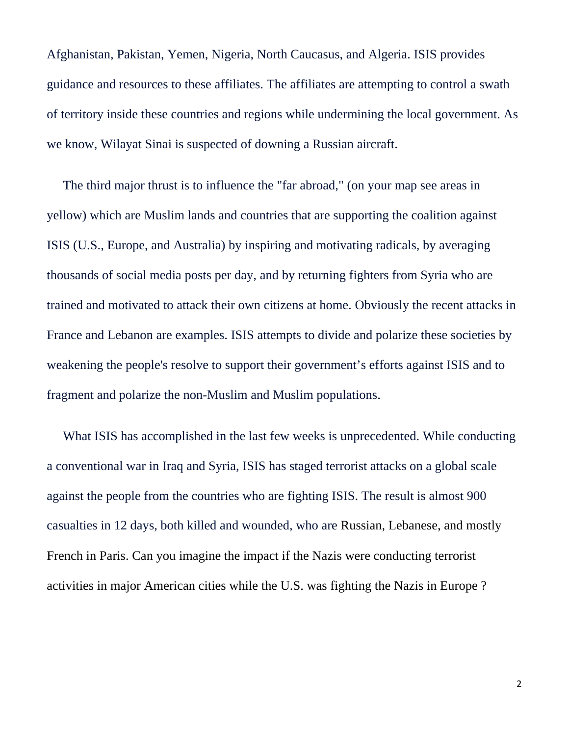Afghanistan, Pakistan, Yemen, Nigeria, North Caucasus, and Algeria. ISIS provides guidance and resources to these affiliates. The affiliates are attempting to control a swath of territory inside these countries and regions while undermining the local government. As we know, Wilayat Sinai is suspected of downing a Russian aircraft.

 The third major thrust is to influence the "far abroad," (on your map see areas in yellow) which are Muslim lands and countries that are supporting the coalition against ISIS (U.S., Europe, and Australia) by inspiring and motivating radicals, by averaging thousands of social media posts per day, and by returning fighters from Syria who are trained and motivated to attack their own citizens at home. Obviously the recent attacks in France and Lebanon are examples. ISIS attempts to divide and polarize these societies by weakening the people's resolve to support their government's efforts against ISIS and to fragment and polarize the non-Muslim and Muslim populations.

 What ISIS has accomplished in the last few weeks is unprecedented. While conducting a conventional war in Iraq and Syria, ISIS has staged terrorist attacks on a global scale against the people from the countries who are fighting ISIS. The result is almost 900 casualties in 12 days, both killed and wounded, who are Russian, Lebanese, and mostly French in Paris. Can you imagine the impact if the Nazis were conducting terrorist activities in major American cities while the U.S. was fighting the Nazis in Europe ?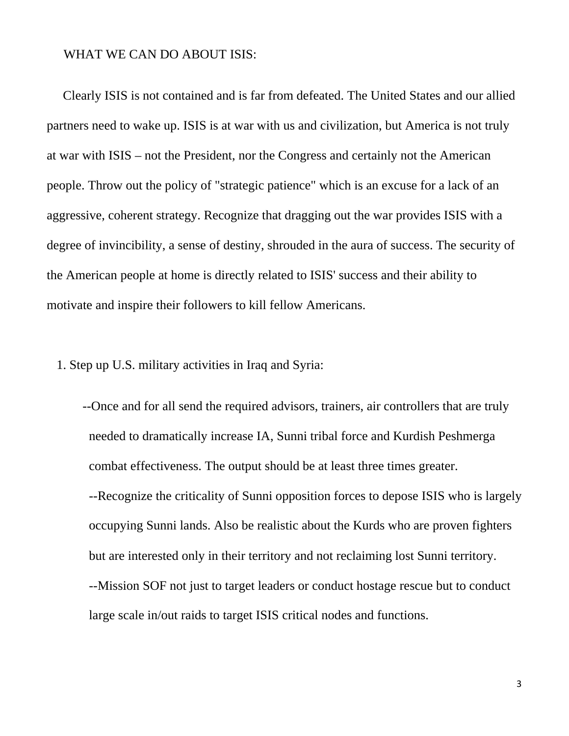## WHAT WE CAN DO ABOUT ISIS:

 Clearly ISIS is not contained and is far from defeated. The United States and our allied partners need to wake up. ISIS is at war with us and civilization, but America is not truly at war with ISIS – not the President, nor the Congress and certainly not the American people. Throw out the policy of "strategic patience" which is an excuse for a lack of an aggressive, coherent strategy. Recognize that dragging out the war provides ISIS with a degree of invincibility, a sense of destiny, shrouded in the aura of success. The security of the American people at home is directly related to ISIS' success and their ability to motivate and inspire their followers to kill fellow Americans.

1. Step up U.S. military activities in Iraq and Syria:

 --Once and for all send the required advisors, trainers, air controllers that are truly needed to dramatically increase IA, Sunni tribal force and Kurdish Peshmerga combat effectiveness. The output should be at least three times greater. --Recognize the criticality of Sunni opposition forces to depose ISIS who is largely occupying Sunni lands. Also be realistic about the Kurds who are proven fighters but are interested only in their territory and not reclaiming lost Sunni territory. --Mission SOF not just to target leaders or conduct hostage rescue but to conduct large scale in/out raids to target ISIS critical nodes and functions.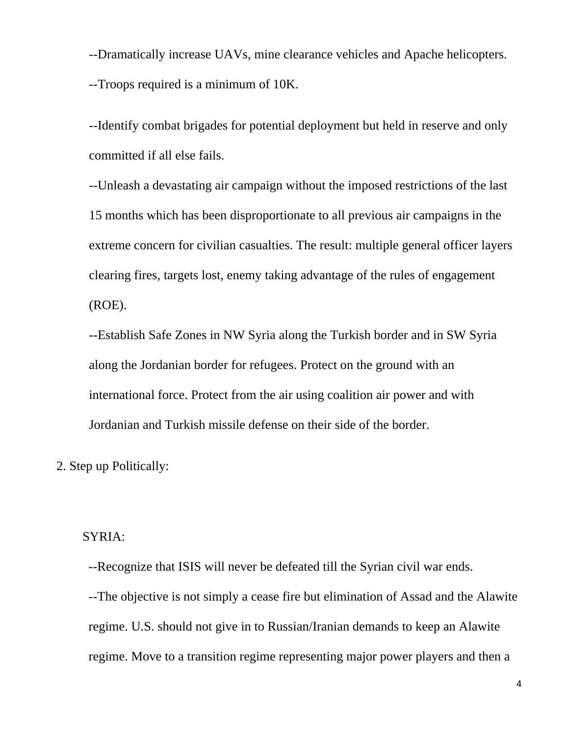--Dramatically increase UAVs, mine clearance vehicles and Apache helicopters. --Troops required is a minimum of 10K.

 --Identify combat brigades for potential deployment but held in reserve and only committed if all else fails.

--Unleash a devastating air campaign without the imposed restrictions of the last 15 months which has been disproportionate to all previous air campaigns in the extreme concern for civilian casualties. The result: multiple general officer layers clearing fires, targets lost, enemy taking advantage of the rules of engagement (ROE).

--Establish Safe Zones in NW Syria along the Turkish border and in SW Syria along the Jordanian border for refugees. Protect on the ground with an international force. Protect from the air using coalition air power and with Jordanian and Turkish missile defense on their side of the border.

2. Step up Politically:

## SYRIA:

--Recognize that ISIS will never be defeated till the Syrian civil war ends.

--The objective is not simply a cease fire but elimination of Assad and the Alawite regime. U.S. should not give in to Russian/Iranian demands to keep an Alawite regime. Move to a transition regime representing major power players and then a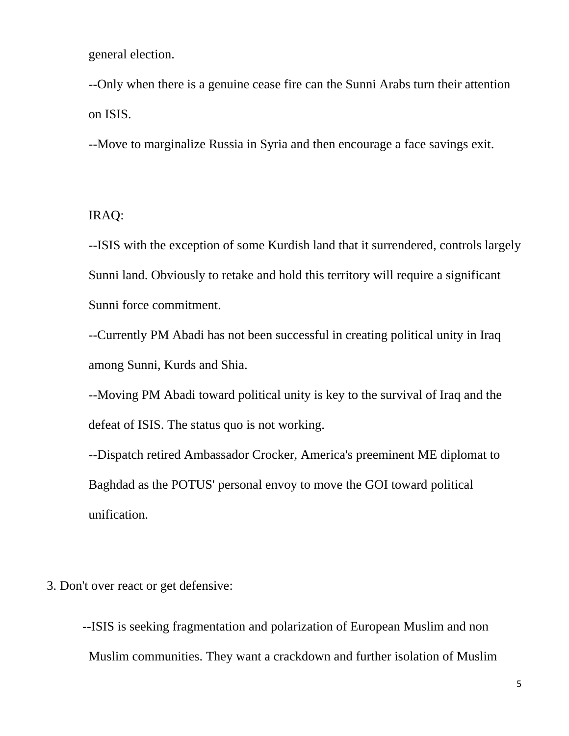general election.

--Only when there is a genuine cease fire can the Sunni Arabs turn their attention on ISIS.

--Move to marginalize Russia in Syria and then encourage a face savings exit.

IRAQ:

--ISIS with the exception of some Kurdish land that it surrendered, controls largely Sunni land. Obviously to retake and hold this territory will require a significant Sunni force commitment.

--Currently PM Abadi has not been successful in creating political unity in Iraq among Sunni, Kurds and Shia.

--Moving PM Abadi toward political unity is key to the survival of Iraq and the defeat of ISIS. The status quo is not working.

--Dispatch retired Ambassador Crocker, America's preeminent ME diplomat to Baghdad as the POTUS' personal envoy to move the GOI toward political unification.

3. Don't over react or get defensive:

 --ISIS is seeking fragmentation and polarization of European Muslim and non Muslim communities. They want a crackdown and further isolation of Muslim

5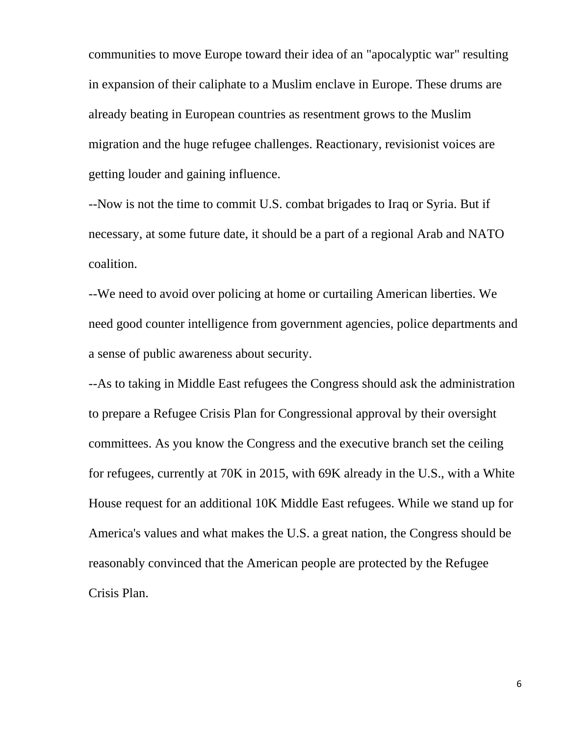communities to move Europe toward their idea of an "apocalyptic war" resulting in expansion of their caliphate to a Muslim enclave in Europe. These drums are already beating in European countries as resentment grows to the Muslim migration and the huge refugee challenges. Reactionary, revisionist voices are getting louder and gaining influence.

--Now is not the time to commit U.S. combat brigades to Iraq or Syria. But if necessary, at some future date, it should be a part of a regional Arab and NATO coalition.

--We need to avoid over policing at home or curtailing American liberties. We need good counter intelligence from government agencies, police departments and a sense of public awareness about security.

--As to taking in Middle East refugees the Congress should ask the administration to prepare a Refugee Crisis Plan for Congressional approval by their oversight committees. As you know the Congress and the executive branch set the ceiling for refugees, currently at 70K in 2015, with 69K already in the U.S., with a White House request for an additional 10K Middle East refugees. While we stand up for America's values and what makes the U.S. a great nation, the Congress should be reasonably convinced that the American people are protected by the Refugee Crisis Plan.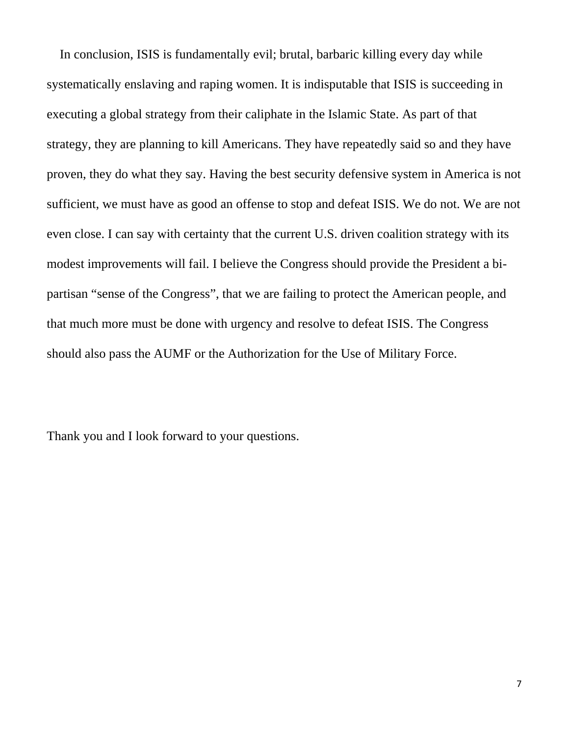In conclusion, ISIS is fundamentally evil; brutal, barbaric killing every day while systematically enslaving and raping women. It is indisputable that ISIS is succeeding in executing a global strategy from their caliphate in the Islamic State. As part of that strategy, they are planning to kill Americans. They have repeatedly said so and they have proven, they do what they say. Having the best security defensive system in America is not sufficient, we must have as good an offense to stop and defeat ISIS. We do not. We are not even close. I can say with certainty that the current U.S. driven coalition strategy with its modest improvements will fail. I believe the Congress should provide the President a bipartisan "sense of the Congress", that we are failing to protect the American people, and that much more must be done with urgency and resolve to defeat ISIS. The Congress should also pass the AUMF or the Authorization for the Use of Military Force.

Thank you and I look forward to your questions.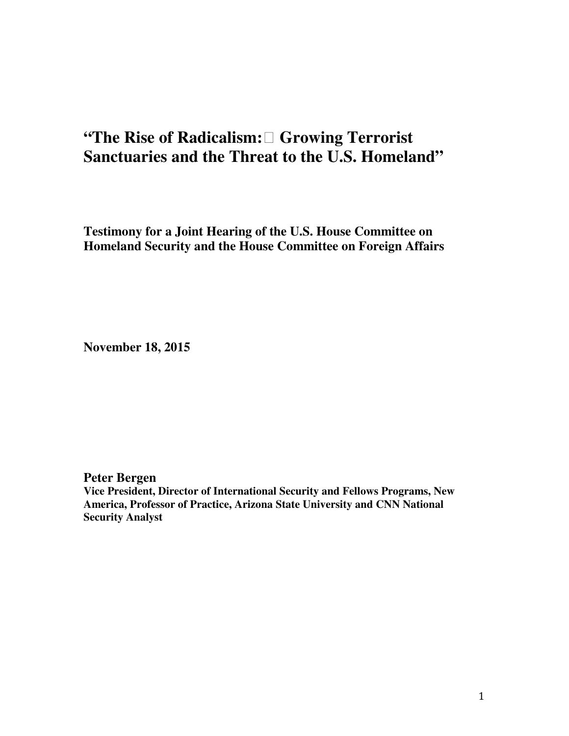# <span id="page-18-0"></span>**"The Rise of Radicalism: Growing Terrorist Sanctuaries and the Threat to the U.S. Homeland"**

**Testimony for a Joint Hearing of the U.S. House Committee on Homeland Security and the House Committee on Foreign Affairs** 

**November 18, 2015** 

**Peter Bergen** 

**Vice President, Director of International Security and Fellows Programs, New America, Professor of Practice, Arizona State University and CNN National Security Analyst**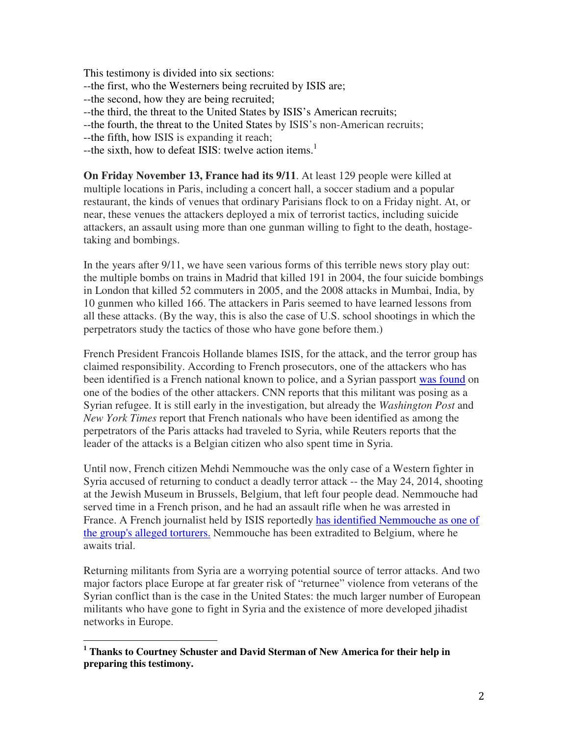This testimony is divided into six sections: --the first, who the Westerners being recruited by ISIS are; --the second, how they are being recruited; --the third, the threat to the United States by ISIS's American recruits; --the fourth, the threat to the United States by ISIS's non-American recruits; --the fifth, how ISIS is expanding it reach; --the sixth, how to defeat ISIS: twelve action items.<sup>1</sup>

**On Friday November 13, France had its 9/11**. At least 129 people were killed at multiple locations in Paris, including a concert hall, a soccer stadium and a popular restaurant, the kinds of venues that ordinary Parisians flock to on a Friday night. At, or near, these venues the attackers deployed a mix of terrorist tactics, including suicide attackers, an assault using more than one gunman willing to fight to the death, hostagetaking and bombings.

In the years after 9/11, we have seen various forms of this terrible news story play out: the multiple bombs on trains in Madrid that killed 191 in 2004, the four suicide bombings in London that killed 52 commuters in 2005, and the 2008 attacks in Mumbai, India, by 10 gunmen who killed 166. The attackers in Paris seemed to have learned lessons from all these attacks. (By the way, this is also the case of U.S. school shootings in which the perpetrators study the tactics of those who have gone before them.)

French President Francois Hollande blames ISIS, for the attack, and the terror group has claimed responsibility. According to French prosecutors, one of the attackers who has been identified is a French national known to police, and a Syrian passport was found on one of the bodies of the other attackers. CNN reports that this militant was posing as a Syrian refugee. It is still early in the investigation, but already the *Washington Post* and *New York Times* report that French nationals who have been identified as among the perpetrators of the Paris attacks had traveled to Syria, while Reuters reports that the leader of the attacks is a Belgian citizen who also spent time in Syria.

Until now, French citizen Mehdi Nemmouche was the only case of a Western fighter in Syria accused of returning to conduct a deadly terror attack -- the May 24, 2014, shooting at the Jewish Museum in Brussels, Belgium, that left four people dead. Nemmouche had served time in a French prison, and he had an assault rifle when he was arrested in France. A French journalist held by ISIS reportedly has identified Nemmouche as one of the group's alleged torturers. Nemmouche has been extradited to Belgium, where he awaits trial.

Returning militants from Syria are a worrying potential source of terror attacks. And two major factors place Europe at far greater risk of "returnee" violence from veterans of the Syrian conflict than is the case in the United States: the much larger number of European militants who have gone to fight in Syria and the existence of more developed jihadist networks in Europe.

 $\overline{a}$ 

<sup>&</sup>lt;sup>1</sup> Thanks to Courtney Schuster and David Sterman of New America for their help in **preparing this testimony.**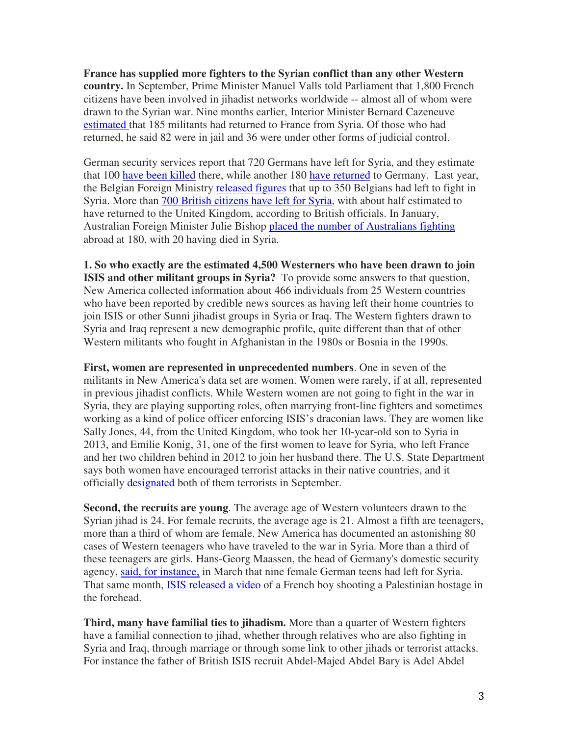**France has supplied more fighters to the Syrian conflict than any other Western country.** In September, Prime Minister Manuel Valls told Parliament that 1,800 French citizens have been involved in jihadist networks worldwide -- almost all of whom were drawn to the Syrian war. Nine months earlier, Interior Minister Bernard Cazeneuve estimated that 185 militants had returned to France from Syria. Of those who had returned, he said 82 were in jail and 36 were under other forms of judicial control.

German security services report that 720 Germans have left for Syria, and they estimate that 100 have been killed there, while another 180 have returned to Germany. Last year, the Belgian Foreign Ministry released figures that up to 350 Belgians had left to fight in Syria. More than 700 British citizens have left for Syria, with about half estimated to have returned to the United Kingdom, according to British officials. In January, Australian Foreign Minister Julie Bishop placed the number of Australians fighting abroad at 180, with 20 having died in Syria.

**1. So who exactly are the estimated 4,500 Westerners who have been drawn to join ISIS and other militant groups in Syria?** To provide some answers to that question, New America collected information about 466 individuals from 25 Western countries who have been reported by credible news sources as having left their home countries to join ISIS or other Sunni jihadist groups in Syria or Iraq. The Western fighters drawn to Syria and Iraq represent a new demographic profile, quite different than that of other Western militants who fought in Afghanistan in the 1980s or Bosnia in the 1990s.

**First, women are represented in unprecedented numbers**. One in seven of the militants in New America's data set are women. Women were rarely, if at all, represented in previous jihadist conflicts. While Western women are not going to fight in the war in Syria, they are playing supporting roles, often marrying front-line fighters and sometimes working as a kind of police officer enforcing ISIS's draconian laws. They are women like Sally Jones, 44, from the United Kingdom, who took her 10-year-old son to Syria in 2013, and Emilie Konig, 31, one of the first women to leave for Syria, who left France and her two children behind in 2012 to join her husband there. The U.S. State Department says both women have encouraged terrorist attacks in their native countries, and it officially designated both of them terrorists in September.

**Second, the recruits are young**. The average age of Western volunteers drawn to the Syrian jihad is 24. For female recruits, the average age is 21. Almost a fifth are teenagers, more than a third of whom are female. New America has documented an astonishing 80 cases of Western teenagers who have traveled to the war in Syria. More than a third of these teenagers are girls. Hans-Georg Maassen, the head of Germany's domestic security agency, said, for instance, in March that nine female German teens had left for Syria. That same month, ISIS released a video of a French boy shooting a Palestinian hostage in the forehead.

**Third, many have familial ties to jihadism.** More than a quarter of Western fighters have a familial connection to jihad, whether through relatives who are also fighting in Syria and Iraq, through marriage or through some link to other jihads or terrorist attacks. For instance the father of British ISIS recruit Abdel-Majed Abdel Bary is Adel Abdel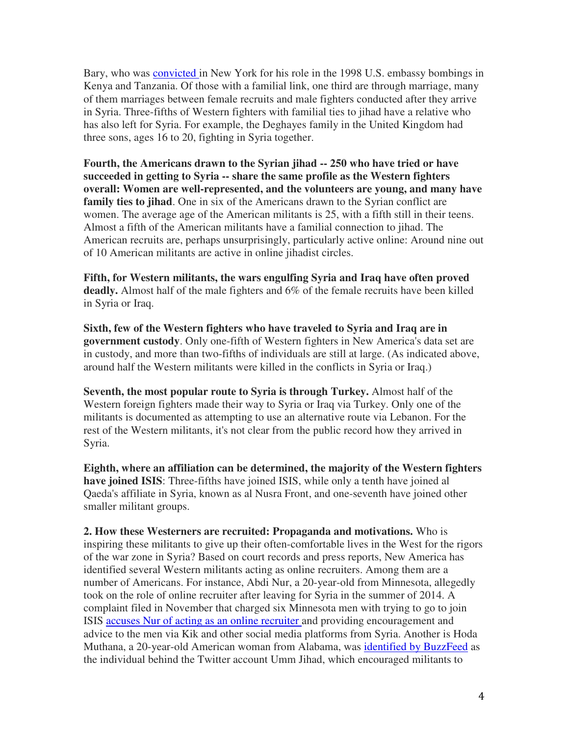Bary, who was convicted in New York for his role in the 1998 U.S. embassy bombings in Kenya and Tanzania. Of those with a familial link, one third are through marriage, many of them marriages between female recruits and male fighters conducted after they arrive in Syria. Three-fifths of Western fighters with familial ties to jihad have a relative who has also left for Syria. For example, the Deghayes family in the United Kingdom had three sons, ages 16 to 20, fighting in Syria together.

**Fourth, the Americans drawn to the Syrian jihad -- 250 who have tried or have succeeded in getting to Syria -- share the same profile as the Western fighters overall: Women are well-represented, and the volunteers are young, and many have family ties to jihad**. One in six of the Americans drawn to the Syrian conflict are women. The average age of the American militants is 25, with a fifth still in their teens. Almost a fifth of the American militants have a familial connection to jihad. The American recruits are, perhaps unsurprisingly, particularly active online: Around nine out of 10 American militants are active in online jihadist circles.

**Fifth, for Western militants, the wars engulfing Syria and Iraq have often proved deadly.** Almost half of the male fighters and 6% of the female recruits have been killed in Syria or Iraq.

**Sixth, few of the Western fighters who have traveled to Syria and Iraq are in government custody**. Only one-fifth of Western fighters in New America's data set are in custody, and more than two-fifths of individuals are still at large. (As indicated above, around half the Western militants were killed in the conflicts in Syria or Iraq.)

**Seventh, the most popular route to Syria is through Turkey.** Almost half of the Western foreign fighters made their way to Syria or Iraq via Turkey. Only one of the militants is documented as attempting to use an alternative route via Lebanon. For the rest of the Western militants, it's not clear from the public record how they arrived in Syria.

**Eighth, where an affiliation can be determined, the majority of the Western fighters have joined ISIS**: Three-fifths have joined ISIS, while only a tenth have joined al Qaeda's affiliate in Syria, known as al Nusra Front, and one-seventh have joined other smaller militant groups.

**2. How these Westerners are recruited: Propaganda and motivations.** Who is inspiring these militants to give up their often-comfortable lives in the West for the rigors of the war zone in Syria? Based on court records and press reports, New America has identified several Western militants acting as online recruiters. Among them are a number of Americans. For instance, Abdi Nur, a 20-year-old from Minnesota, allegedly took on the role of online recruiter after leaving for Syria in the summer of 2014. A complaint filed in November that charged six Minnesota men with trying to go to join ISIS accuses Nur of acting as an online recruiter and providing encouragement and advice to the men via Kik and other social media platforms from Syria. Another is Hoda Muthana, a 20-year-old American woman from Alabama, was identified by BuzzFeed as the individual behind the Twitter account Umm Jihad, which encouraged militants to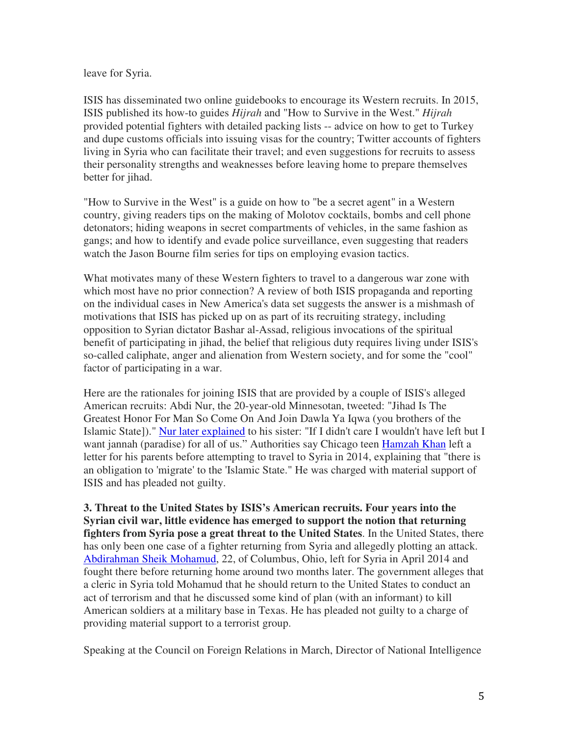leave for Syria.

ISIS has disseminated two online guidebooks to encourage its Western recruits. In 2015, ISIS published its how-to guides *Hijrah* and "How to Survive in the West." *Hijrah*  provided potential fighters with detailed packing lists -- advice on how to get to Turkey and dupe customs officials into issuing visas for the country; Twitter accounts of fighters living in Syria who can facilitate their travel; and even suggestions for recruits to assess their personality strengths and weaknesses before leaving home to prepare themselves better for jihad.

"How to Survive in the West" is a guide on how to "be a secret agent" in a Western country, giving readers tips on the making of Molotov cocktails, bombs and cell phone detonators; hiding weapons in secret compartments of vehicles, in the same fashion as gangs; and how to identify and evade police surveillance, even suggesting that readers watch the Jason Bourne film series for tips on employing evasion tactics.

What motivates many of these Western fighters to travel to a dangerous war zone with which most have no prior connection? A review of both ISIS propaganda and reporting on the individual cases in New America's data set suggests the answer is a mishmash of motivations that ISIS has picked up on as part of its recruiting strategy, including opposition to Syrian dictator Bashar al-Assad, religious invocations of the spiritual benefit of participating in jihad, the belief that religious duty requires living under ISIS's so-called caliphate, anger and alienation from Western society, and for some the "cool" factor of participating in a war.

Here are the rationales for joining ISIS that are provided by a couple of ISIS's alleged American recruits: Abdi Nur, the 20-year-old Minnesotan, tweeted: "Jihad Is The Greatest Honor For Man So Come On And Join Dawla Ya Iqwa (you brothers of the Islamic State])." Nur later explained to his sister: "If I didn't care I wouldn't have left but I want jannah (paradise) for all of us." Authorities say Chicago teen Hamzah Khan left a letter for his parents before attempting to travel to Syria in 2014, explaining that "there is an obligation to 'migrate' to the 'Islamic State." He was charged with material support of ISIS and has pleaded not guilty.

**3. Threat to the United States by ISIS's American recruits. Four years into the Syrian civil war, little evidence has emerged to support the notion that returning fighters from Syria pose a great threat to the United States**. In the United States, there has only been one case of a fighter returning from Syria and allegedly plotting an attack. Abdirahman Sheik Mohamud, 22, of Columbus, Ohio, left for Syria in April 2014 and fought there before returning home around two months later. The government alleges that a cleric in Syria told Mohamud that he should return to the United States to conduct an act of terrorism and that he discussed some kind of plan (with an informant) to kill American soldiers at a military base in Texas. He has pleaded not guilty to a charge of providing material support to a terrorist group.

Speaking at the Council on Foreign Relations in March, Director of National Intelligence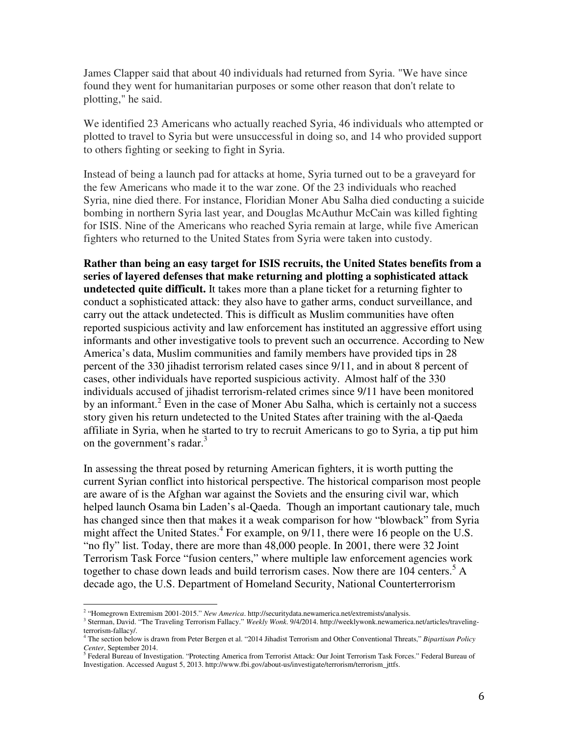James Clapper said that about 40 individuals had returned from Syria. "We have since found they went for humanitarian purposes or some other reason that don't relate to plotting," he said.

We identified 23 Americans who actually reached Syria, 46 individuals who attempted or plotted to travel to Syria but were unsuccessful in doing so, and 14 who provided support to others fighting or seeking to fight in Syria.

Instead of being a launch pad for attacks at home, Syria turned out to be a graveyard for the few Americans who made it to the war zone. Of the 23 individuals who reached Syria, nine died there. For instance, Floridian Moner Abu Salha died conducting a suicide bombing in northern Syria last year, and Douglas McAuthur McCain was killed fighting for ISIS. Nine of the Americans who reached Syria remain at large, while five American fighters who returned to the United States from Syria were taken into custody.

**Rather than being an easy target for ISIS recruits, the United States benefits from a series of layered defenses that make returning and plotting a sophisticated attack undetected quite difficult.** It takes more than a plane ticket for a returning fighter to conduct a sophisticated attack: they also have to gather arms, conduct surveillance, and carry out the attack undetected. This is difficult as Muslim communities have often reported suspicious activity and law enforcement has instituted an aggressive effort using informants and other investigative tools to prevent such an occurrence. According to New America's data, Muslim communities and family members have provided tips in 28 percent of the 330 jihadist terrorism related cases since 9/11, and in about 8 percent of cases, other individuals have reported suspicious activity. Almost half of the 330 individuals accused of jihadist terrorism-related crimes since 9/11 have been monitored by an informant.<sup>2</sup> Even in the case of Moner Abu Salha, which is certainly not a success story given his return undetected to the United States after training with the al-Qaeda affiliate in Syria, when he started to try to recruit Americans to go to Syria, a tip put him on the government's radar.<sup>3</sup>

In assessing the threat posed by returning American fighters, it is worth putting the current Syrian conflict into historical perspective. The historical comparison most people are aware of is the Afghan war against the Soviets and the ensuring civil war, which helped launch Osama bin Laden's al-Qaeda. Though an important cautionary tale, much has changed since then that makes it a weak comparison for how "blowback" from Syria might affect the United States.<sup>4</sup> For example, on  $9/11$ , there were 16 people on the U.S. "no fly" list. Today, there are more than 48,000 people. In 2001, there were 32 Joint Terrorism Task Force "fusion centers," where multiple law enforcement agencies work together to chase down leads and build terrorism cases. Now there are  $104$  centers.<sup>5</sup> A decade ago, the U.S. Department of Homeland Security, National Counterterrorism

 $\overline{a}$ 

<sup>&</sup>lt;sup>2</sup> "Homegrown Extremism 2001-2015." New America. http://securitydata.newamerica.net/extremists/analysis.

<sup>3</sup> Sterman, David. "The Traveling Terrorism Fallacy." *Weekly Wonk*. 9/4/2014. http://weeklywonk.newamerica.net/articles/travelingterrorism-fallacy/.

<sup>4</sup> The section below is drawn from Peter Bergen et al. "2014 Jihadist Terrorism and Other Conventional Threats," *Bipartisan Policy Center*, September 2014.<br><sup>5</sup> Eederal Bureau of Inves

Federal Bureau of Investigation. "Protecting America from Terrorist Attack: Our Joint Terrorism Task Forces." Federal Bureau of Investigation. Accessed August 5, 2013. http://www.fbi.gov/about-us/investigate/terrorism/terrorism\_jttfs.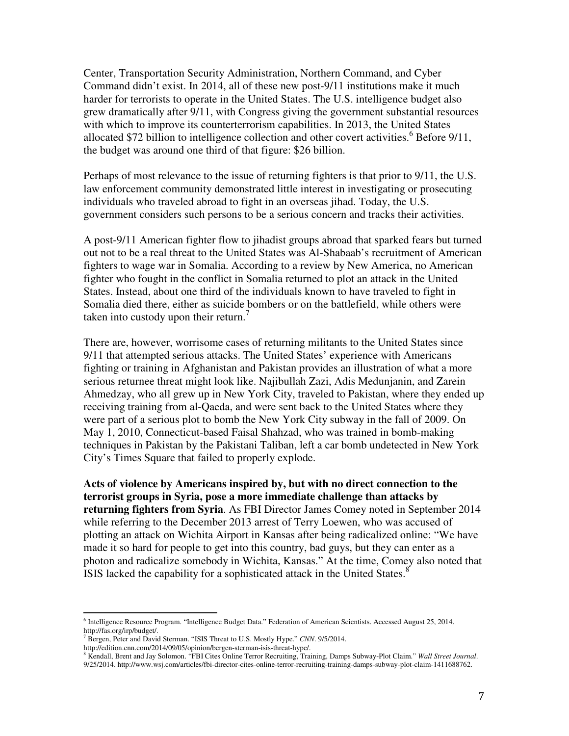Center, Transportation Security Administration, Northern Command, and Cyber Command didn't exist. In 2014, all of these new post-9/11 institutions make it much harder for terrorists to operate in the United States. The U.S. intelligence budget also grew dramatically after 9/11, with Congress giving the government substantial resources with which to improve its counterterrorism capabilities. In 2013, the United States allocated \$72 billion to intelligence collection and other covert activities.<sup>6</sup> Before  $9/11$ , the budget was around one third of that figure: \$26 billion.

Perhaps of most relevance to the issue of returning fighters is that prior to 9/11, the U.S. law enforcement community demonstrated little interest in investigating or prosecuting individuals who traveled abroad to fight in an overseas jihad. Today, the U.S. government considers such persons to be a serious concern and tracks their activities.

A post-9/11 American fighter flow to jihadist groups abroad that sparked fears but turned out not to be a real threat to the United States was Al-Shabaab's recruitment of American fighters to wage war in Somalia. According to a review by New America, no American fighter who fought in the conflict in Somalia returned to plot an attack in the United States. Instead, about one third of the individuals known to have traveled to fight in Somalia died there, either as suicide bombers or on the battlefield, while others were taken into custody upon their return.<sup>7</sup>

There are, however, worrisome cases of returning militants to the United States since 9/11 that attempted serious attacks. The United States' experience with Americans fighting or training in Afghanistan and Pakistan provides an illustration of what a more serious returnee threat might look like. Najibullah Zazi, Adis Medunjanin, and Zarein Ahmedzay, who all grew up in New York City, traveled to Pakistan, where they ended up receiving training from al-Qaeda, and were sent back to the United States where they were part of a serious plot to bomb the New York City subway in the fall of 2009. On May 1, 2010, Connecticut-based Faisal Shahzad, who was trained in bomb-making techniques in Pakistan by the Pakistani Taliban, left a car bomb undetected in New York City's Times Square that failed to properly explode.

**Acts of violence by Americans inspired by, but with no direct connection to the terrorist groups in Syria, pose a more immediate challenge than attacks by returning fighters from Syria**. As FBI Director James Comey noted in September 2014 while referring to the December 2013 arrest of Terry Loewen, who was accused of plotting an attack on Wichita Airport in Kansas after being radicalized online: "We have made it so hard for people to get into this country, bad guys, but they can enter as a photon and radicalize somebody in Wichita, Kansas." At the time, Comey also noted that ISIS lacked the capability for a sophisticated attack in the United States.<sup>8</sup>

 $\overline{a}$ 

9/25/2014. http://www.wsj.com/articles/fbi-director-cites-online-terror-recruiting-training-damps-subway-plot-claim-1411688762.

<sup>6</sup> Intelligence Resource Program. "Intelligence Budget Data." Federation of American Scientists. Accessed August 25, 2014. http://fas.org/irp/budget/.

<sup>7</sup> Bergen, Peter and David Sterman. "ISIS Threat to U.S. Mostly Hype." *CNN*. 9/5/2014.

http://edition.cnn.com/2014/09/05/opinion/bergen-sterman-isis-threat-hype/.

<sup>8</sup> Kendall, Brent and Jay Solomon. "FBI Cites Online Terror Recruiting, Training, Damps Subway-Plot Claim." *Wall Street Journal*.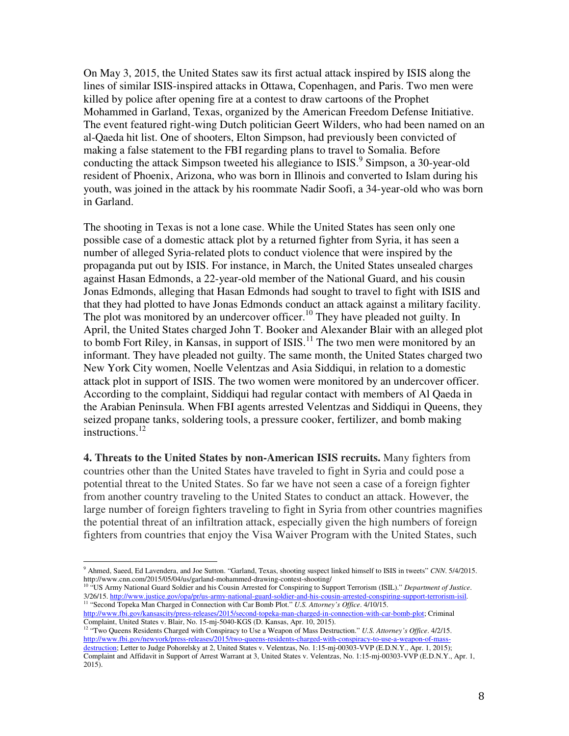On May 3, 2015, the United States saw its first actual attack inspired by ISIS along the lines of similar ISIS-inspired attacks in Ottawa, Copenhagen, and Paris. Two men were killed by police after opening fire at a contest to draw cartoons of the Prophet Mohammed in Garland, Texas, organized by the American Freedom Defense Initiative. The event featured right-wing Dutch politician Geert Wilders, who had been named on an al-Qaeda hit list. One of shooters, Elton Simpson, had previously been convicted of making a false statement to the FBI regarding plans to travel to Somalia. Before conducting the attack Simpson tweeted his allegiance to ISIS.<sup>9</sup> Simpson, a 30-year-old resident of Phoenix, Arizona, who was born in Illinois and converted to Islam during his youth, was joined in the attack by his roommate Nadir Soofi, a 34-year-old who was born in Garland.

The shooting in Texas is not a lone case. While the United States has seen only one possible case of a domestic attack plot by a returned fighter from Syria, it has seen a number of alleged Syria-related plots to conduct violence that were inspired by the propaganda put out by ISIS. For instance, in March, the United States unsealed charges against Hasan Edmonds, a 22-year-old member of the National Guard, and his cousin Jonas Edmonds, alleging that Hasan Edmonds had sought to travel to fight with ISIS and that they had plotted to have Jonas Edmonds conduct an attack against a military facility. The plot was monitored by an undercover officer.<sup>10</sup> They have pleaded not guilty. In April, the United States charged John T. Booker and Alexander Blair with an alleged plot to bomb Fort Riley, in Kansas, in support of ISIS.<sup>11</sup> The two men were monitored by an informant. They have pleaded not guilty. The same month, the United States charged two New York City women, Noelle Velentzas and Asia Siddiqui, in relation to a domestic attack plot in support of ISIS. The two women were monitored by an undercover officer. According to the complaint, Siddiqui had regular contact with members of Al Qaeda in the Arabian Peninsula. When FBI agents arrested Velentzas and Siddiqui in Queens, they seized propane tanks, soldering tools, a pressure cooker, fertilizer, and bomb making instructions.<sup>12</sup>

**4. Threats to the United States by non-American ISIS recruits.** Many fighters from countries other than the United States have traveled to fight in Syria and could pose a potential threat to the United States. So far we have not seen a case of a foreign fighter from another country traveling to the United States to conduct an attack. However, the large number of foreign fighters traveling to fight in Syria from other countries magnifies the potential threat of an infiltration attack, especially given the high numbers of foreign fighters from countries that enjoy the Visa Waiver Program with the United States, such

 $\overline{a}$ 

<sup>9</sup> Ahmed, Saeed, Ed Lavendera, and Joe Sutton. "Garland, Texas, shooting suspect linked himself to ISIS in tweets" *CNN*. 5/4/2015. http://www.cnn.com/2015/05/04/us/garland-mohammed-drawing-contest-shooting/

<sup>10</sup> "US Army National Guard Soldier and his Cousin Arrested for Conspiring to Support Terrorism (ISIL)." *Department of Justice*. 3/26/15. http://www.justice.gov/opa/pr/us-army-national-guard-soldier-and-his-cousin-arrested-conspiring-support-terrorism-isil. <sup>11</sup> "Second Topeka Man Charged in Connection with Car Bomb Plot." *U.S. Attorney's Office*. 4/10/15.

http://www.fbi.gov/kansascity/press-releases/2015/second-topeka-man-charged-in-connection-with-car-bomb-plot; Criminal Complaint, United States v. Blair, No. 15-mj-5040-KGS (D. Kansas, Apr. 10, 2015).

<sup>12</sup> "Two Queens Residents Charged with Conspiracy to Use a Weapon of Mass Destruction." *U.S. Attorney's Office*. 4/2/15. http://www.fbi.gov/newyork/press-releases/2015/two-queens-residents-charged-with-conspiracy-to-use-a-weapon-of-massdestruction; Letter to Judge Pohorelsky at 2, United States v. Velentzas, No. 1:15-mj-00303-VVP (E.D.N.Y., Apr. 1, 2015); Complaint and Affidavit in Support of Arrest Warrant at 3, United States v. Velentzas, No. 1:15-mj-00303-VVP (E.D.N.Y., Apr. 1,  $2015$ ).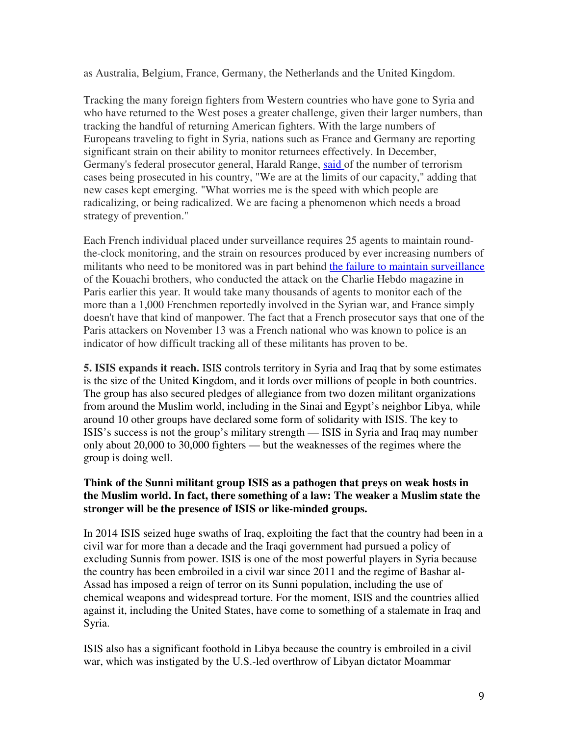as Australia, Belgium, France, Germany, the Netherlands and the United Kingdom.

Tracking the many foreign fighters from Western countries who have gone to Syria and who have returned to the West poses a greater challenge, given their larger numbers, than tracking the handful of returning American fighters. With the large numbers of Europeans traveling to fight in Syria, nations such as France and Germany are reporting significant strain on their ability to monitor returnees effectively. In December, Germany's federal prosecutor general, Harald Range, said of the number of terrorism cases being prosecuted in his country, "We are at the limits of our capacity," adding that new cases kept emerging. "What worries me is the speed with which people are radicalizing, or being radicalized. We are facing a phenomenon which needs a broad strategy of prevention."

Each French individual placed under surveillance requires 25 agents to maintain roundthe-clock monitoring, and the strain on resources produced by ever increasing numbers of militants who need to be monitored was in part behind the failure to maintain surveillance of the Kouachi brothers, who conducted the attack on the Charlie Hebdo magazine in Paris earlier this year. It would take many thousands of agents to monitor each of the more than a 1,000 Frenchmen reportedly involved in the Syrian war, and France simply doesn't have that kind of manpower. The fact that a French prosecutor says that one of the Paris attackers on November 13 was a French national who was known to police is an indicator of how difficult tracking all of these militants has proven to be.

**5. ISIS expands it reach.** ISIS controls territory in Syria and Iraq that by some estimates is the size of the United Kingdom, and it lords over millions of people in both countries. The group has also secured pledges of allegiance from two dozen militant organizations from around the Muslim world, including in the Sinai and Egypt's neighbor Libya, while around 10 other groups have declared some form of solidarity with ISIS. The key to ISIS's success is not the group's military strength — ISIS in Syria and Iraq may number only about 20,000 to 30,000 fighters — but the weaknesses of the regimes where the group is doing well.

## **Think of the Sunni militant group ISIS as a pathogen that preys on weak hosts in the Muslim world. In fact, there something of a law: The weaker a Muslim state the stronger will be the presence of ISIS or like-minded groups.**

In 2014 ISIS seized huge swaths of Iraq, exploiting the fact that the country had been in a civil war for more than a decade and the Iraqi government had pursued a policy of excluding Sunnis from power. ISIS is one of the most powerful players in Syria because the country has been embroiled in a civil war since 2011 and the regime of Bashar al-Assad has imposed a reign of terror on its Sunni population, including the use of chemical weapons and widespread torture. For the moment, ISIS and the countries allied against it, including the United States, have come to something of a stalemate in Iraq and Syria.

ISIS also has a significant foothold in Libya because the country is embroiled in a civil war, which was instigated by the U.S.-led overthrow of Libyan dictator Moammar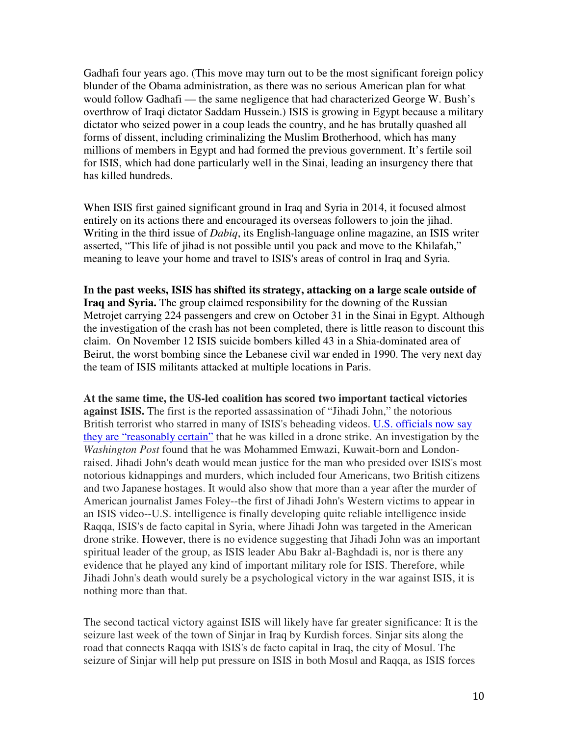Gadhafi four years ago. (This move may turn out to be the most significant foreign policy blunder of the Obama administration, as there was no serious American plan for what would follow Gadhafi — the same negligence that had characterized George W. Bush's overthrow of Iraqi dictator Saddam Hussein.) ISIS is growing in Egypt because a military dictator who seized power in a coup leads the country, and he has brutally quashed all forms of dissent, including criminalizing the Muslim Brotherhood, which has many millions of members in Egypt and had formed the previous government. It's fertile soil for ISIS, which had done particularly well in the Sinai, leading an insurgency there that has killed hundreds.

When ISIS first gained significant ground in Iraq and Syria in 2014, it focused almost entirely on its actions there and encouraged its overseas followers to join the jihad. Writing in the third issue of *Dabiq*, its English-language online magazine, an ISIS writer asserted, "This life of jihad is not possible until you pack and move to the Khilafah," meaning to leave your home and travel to ISIS's areas of control in Iraq and Syria.

**In the past weeks, ISIS has shifted its strategy, attacking on a large scale outside of Iraq and Syria.** The group claimed responsibility for the downing of the Russian Metrojet carrying 224 passengers and crew on October 31 in the Sinai in Egypt. Although the investigation of the crash has not been completed, there is little reason to discount this claim. On November 12 ISIS suicide bombers killed 43 in a Shia-dominated area of Beirut, the worst bombing since the Lebanese civil war ended in 1990. The very next day the team of ISIS militants attacked at multiple locations in Paris.

**At the same time, the US-led coalition has scored two important tactical victories against ISIS.** The first is the reported assassination of "Jihadi John," the notorious British terrorist who starred in many of ISIS's beheading videos. U.S. officials now say they are "reasonably certain" that he was killed in a drone strike. An investigation by the *Washington Post* found that he was Mohammed Emwazi, Kuwait-born and Londonraised. Jihadi John's death would mean justice for the man who presided over ISIS's most notorious kidnappings and murders, which included four Americans, two British citizens and two Japanese hostages. It would also show that more than a year after the murder of American journalist James Foley--the first of Jihadi John's Western victims to appear in an ISIS video--U.S. intelligence is finally developing quite reliable intelligence inside Raqqa, ISIS's de facto capital in Syria, where Jihadi John was targeted in the American drone strike. However, there is no evidence suggesting that Jihadi John was an important spiritual leader of the group, as ISIS leader Abu Bakr al-Baghdadi is, nor is there any evidence that he played any kind of important military role for ISIS. Therefore, while Jihadi John's death would surely be a psychological victory in the war against ISIS, it is nothing more than that.

The second tactical victory against ISIS will likely have far greater significance: It is the seizure last week of the town of Sinjar in Iraq by Kurdish forces. Sinjar sits along the road that connects Raqqa with ISIS's de facto capital in Iraq, the city of Mosul. The seizure of Sinjar will help put pressure on ISIS in both Mosul and Raqqa, as ISIS forces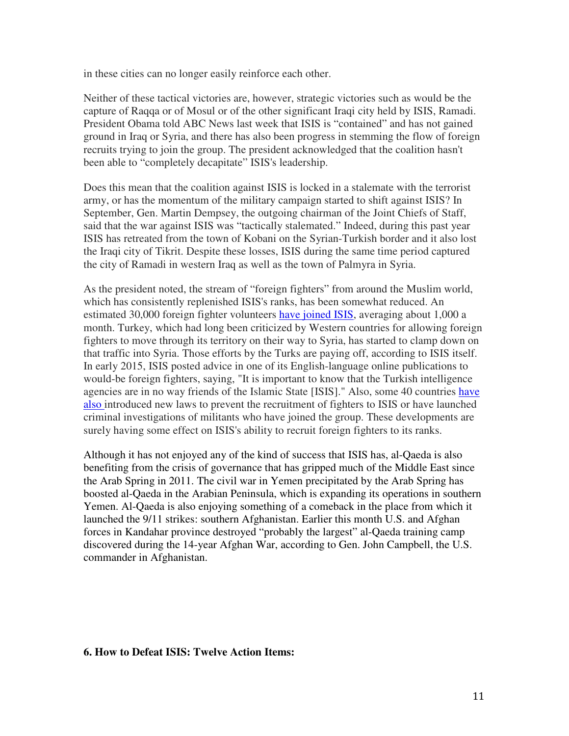in these cities can no longer easily reinforce each other.

Neither of these tactical victories are, however, strategic victories such as would be the capture of Raqqa or of Mosul or of the other significant Iraqi city held by ISIS, Ramadi. President Obama told ABC News last week that ISIS is "contained" and has not gained ground in Iraq or Syria, and there has also been progress in stemming the flow of foreign recruits trying to join the group. The president acknowledged that the coalition hasn't been able to "completely decapitate" ISIS's leadership.

Does this mean that the coalition against ISIS is locked in a stalemate with the terrorist army, or has the momentum of the military campaign started to shift against ISIS? In September, Gen. Martin Dempsey, the outgoing chairman of the Joint Chiefs of Staff, said that the war against ISIS was "tactically stalemated." Indeed, during this past year ISIS has retreated from the town of Kobani on the Syrian-Turkish border and it also lost the Iraqi city of Tikrit. Despite these losses, ISIS during the same time period captured the city of Ramadi in western Iraq as well as the town of Palmyra in Syria.

As the president noted, the stream of "foreign fighters" from around the Muslim world, which has consistently replenished ISIS's ranks, has been somewhat reduced. An estimated 30,000 foreign fighter volunteers have joined ISIS, averaging about 1,000 a month. Turkey, which had long been criticized by Western countries for allowing foreign fighters to move through its territory on their way to Syria, has started to clamp down on that traffic into Syria. Those efforts by the Turks are paying off, according to ISIS itself. In early 2015, ISIS posted advice in one of its English-language online publications to would-be foreign fighters, saying, "It is important to know that the Turkish intelligence agencies are in no way friends of the Islamic State [ISIS]." Also, some 40 countries have also introduced new laws to prevent the recruitment of fighters to ISIS or have launched criminal investigations of militants who have joined the group. These developments are surely having some effect on ISIS's ability to recruit foreign fighters to its ranks.

Although it has not enjoyed any of the kind of success that ISIS has, al-Qaeda is also benefiting from the crisis of governance that has gripped much of the Middle East since the Arab Spring in 2011. The civil war in Yemen precipitated by the Arab Spring has boosted al-Qaeda in the Arabian Peninsula, which is expanding its operations in southern Yemen. Al-Qaeda is also enjoying something of a comeback in the place from which it launched the 9/11 strikes: southern Afghanistan. Earlier this month U.S. and Afghan forces in Kandahar province destroyed "probably the largest" al-Qaeda training camp discovered during the 14-year Afghan War, according to Gen. John Campbell, the U.S. commander in Afghanistan.

#### **6. How to Defeat ISIS: Twelve Action Items:**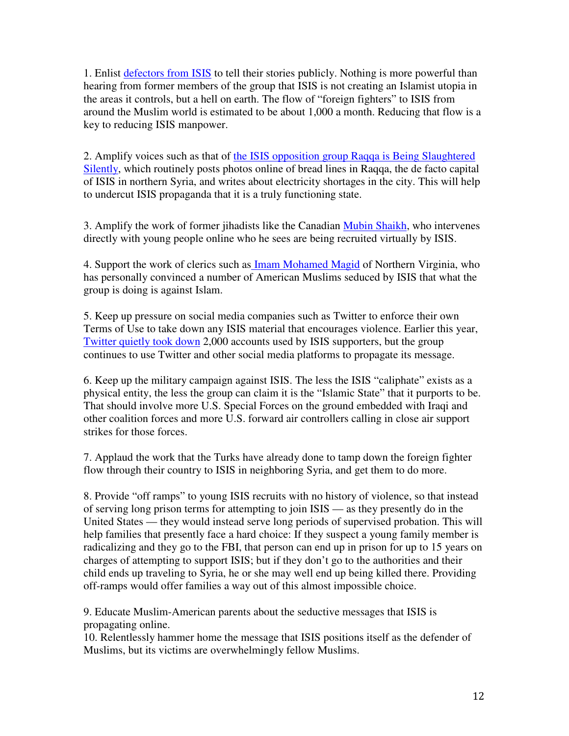1. Enlist defectors from ISIS to tell their stories publicly. Nothing is more powerful than hearing from former members of the group that ISIS is not creating an Islamist utopia in the areas it controls, but a hell on earth. The flow of "foreign fighters" to ISIS from around the Muslim world is estimated to be about 1,000 a month. Reducing that flow is a key to reducing ISIS manpower.

2. Amplify voices such as that of the ISIS opposition group Raqqa is Being Slaughtered Silently, which routinely posts photos online of bread lines in Raqqa, the de facto capital of ISIS in northern Syria, and writes about electricity shortages in the city. This will help to undercut ISIS propaganda that it is a truly functioning state.

3. Amplify the work of former jihadists like the Canadian Mubin Shaikh, who intervenes directly with young people online who he sees are being recruited virtually by ISIS.

4. Support the work of clerics such as Imam Mohamed Magid of Northern Virginia, who has personally convinced a number of American Muslims seduced by ISIS that what the group is doing is against Islam.

5. Keep up pressure on social media companies such as Twitter to enforce their own Terms of Use to take down any ISIS material that encourages violence. Earlier this year, Twitter quietly took down 2,000 accounts used by ISIS supporters, but the group continues to use Twitter and other social media platforms to propagate its message.

6. Keep up the military campaign against ISIS. The less the ISIS "caliphate" exists as a physical entity, the less the group can claim it is the "Islamic State" that it purports to be. That should involve more U.S. Special Forces on the ground embedded with Iraqi and other coalition forces and more U.S. forward air controllers calling in close air support strikes for those forces.

7. Applaud the work that the Turks have already done to tamp down the foreign fighter flow through their country to ISIS in neighboring Syria, and get them to do more.

8. Provide "off ramps" to young ISIS recruits with no history of violence, so that instead of serving long prison terms for attempting to join ISIS — as they presently do in the United States — they would instead serve long periods of supervised probation. This will help families that presently face a hard choice: If they suspect a young family member is radicalizing and they go to the FBI, that person can end up in prison for up to 15 years on charges of attempting to support ISIS; but if they don't go to the authorities and their child ends up traveling to Syria, he or she may well end up being killed there. Providing off-ramps would offer families a way out of this almost impossible choice.

9. Educate Muslim-American parents about the seductive messages that ISIS is propagating online.

10. Relentlessly hammer home the message that ISIS positions itself as the defender of Muslims, but its victims are overwhelmingly fellow Muslims.